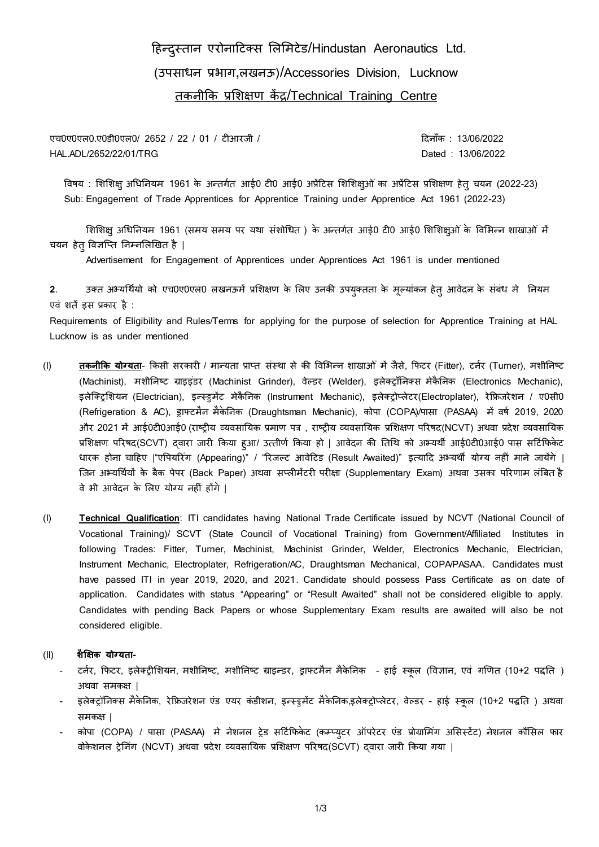# हिन्दुस्तान एरोनाहिक्स लिलििेड/Hindustan Aeronautics Ltd. (उपसाधन प्रभाग,िखनऊ)/Accessories Division, Lucknow तकनीकक प्रलिक्षण कें द्र/Technical Training Centre

एच0ए0एल0.ए0डी0एल0/ 2652 / 22 / 01 / टीआरजी / ह्रियांक : 13/06/2022 HAL.ADL/2652/22/01/TRG Dated : 13/06/2022

विषय : शिशिक्षु अधिनियम 1961 के अन्तर्गत आई0 टी0 आई0 अप्रेंटिस शिशिक्षुओं का अप्रेंटिस प्रशिक्षण हेतु चयन (2022-23) Sub: Engagement of Trade Apprentices for Apprentice Training under Apprentice Act 1961 (2022-23)

शिशिक्षु अधिनियम 1961 (समय समय पर यथा संशोधित ) के अन्तर्गत आई0 टी0 आई0 शिशिक्षुओं के विभिन्न शाखाओं में चयन हेतु विज्ञप्ति निम्नलिखित है |

Advertisement for Engagement of Apprentices under Apprentices Act 1961 is under mentioned

2. उक्त अभ्यर्थियो को एच0ए0एल0 लखनऊमें प्रशिक्षण के लिए उनकी उपयुक्तता के मूल्यांकन हेत् आवेदन के संबंध मे<sup>ं</sup> नियम एवं शर्ते इस प्रकार है :

Requirements of Eligibility and Rules/Terms for applying for the purpose of selection for Apprentice Training at HAL Lucknow is as under mentioned

- (I) **तकनीकि योग्यता** किसी सरकारी / मान्यता प्राप्त संस्था से की विभिन्न शाखाओं में जैसे, फिटर (Fitter), टर्नर (Turner), मशीनिष्ट (Machinist), मशीनिष्ट ग्राइइंडर (Machinist Grinder), वेल्डर (Welder), इलेक्टॉनिक्स मेकैनिक (Electronics Mechanic), इलेक्ट्रिशियन (Electrician), इन्स्ड्रमेंट मेकैनिक (Instrument Mechanic), इलेक्ट्रोप्लेटर(Electroplater), रेफ्रिजरेशन / ए0सी0 (Refrigeration & AC), ड्राफ्ििैन िैकेननक (Draughtsman Mechanic), कोपा (COPA)/पासा (PASAA) िें िषग 2019, 2020 और 2021 में आई0टी0आई0 (राष्ट्रीय व्यवसायिक प्रमाण पत्र , राष्ट्रीय व्यवसायिक प्रशिक्षण परिषद(NCVT) अथवा प्रदेश व्यवसायिक प्रशिक्षण परिषद(SCVT) दवारा जारी किया हुआ/ उत्तीर्ण किया हो | आवेदन की तिथि को अभ्यर्थी आई0टी0आई0 पास सर्टिफिकेट धारक होना चाहिए |"एपियरिंग (Appearing)" / "रिजल्ट आवेटिड (Result Awaited)" इत्यादि अभ्यर्थी योग्य नहीं माने जायेंगे | जिन अभ्यर्थियों के बैक पेपर (Back Paper) अथवा सप्लीमेंटरी परीक्षा (Supplementary Exam) अथवा उसका परिणाम लंबित है िे भी आिेदन के लिए योग्य निीं िोंगे |
- (I) **Technical Qualification**: ITI candidates having National Trade Certificate issued by NCVT (National Council of Vocational Training)/ SCVT (State Council of Vocational Training) from Government/Affiliated Institutes in following Trades: Fitter, Turner, Machinist, Machinist Grinder, Welder, Electronics Mechanic, Electrician, Instrument Mechanic, Electroplater, Refrigeration/AC, Draughtsman Mechanical, COPA/PASAA. Candidates must have passed ITI in year 2019, 2020, and 2021. Candidate should possess Pass Certificate as on date of application. Candidates with status "Appearing" or "Result Awaited" shall not be considered eligible to apply. Candidates with pending Back Papers or whose Supplementary Exam results are awaited will also be not considered eligible.

## (II) **शैक्षिक योग्यता-**

- टर्नर, फिटर, इलेक्ट्रीशियन, मशीनिष्ट, मशीनिष्ट ग्राइन्डर, ड्राफ्टमैन मैकेनिक हाई स्कूल (विज्ञान, एवं गणित (10+2 पद्धति ) अथवा समकक्ष |
- इलेक्ट्रॉनिक्स मैकेनिक, रेफ्रिजरेशन एंड एयर कंडीशन, इन्स्डुमेंट मैकेनिक,इलेक्ट्रोप्लेटर, वेल्डर हाई स्कूल (10+2 पद्धति ) अथवा सिकक्ष |
- कोपा (COPA) / पासा (PASAA) मे नेशनल ट्रेड सर्टिफिकेट (कम्प्यूटर ऑपरेटर एंड प्रोग्रामिंग असिस्टेंट) नेशनल कौंसिल फार िोकेिनि रेननगं (NCVT) अथिा प्रदेि व्यिसानयक प्रलिक्षण पररषद(SCVT) द्िारा जारी ककया गया |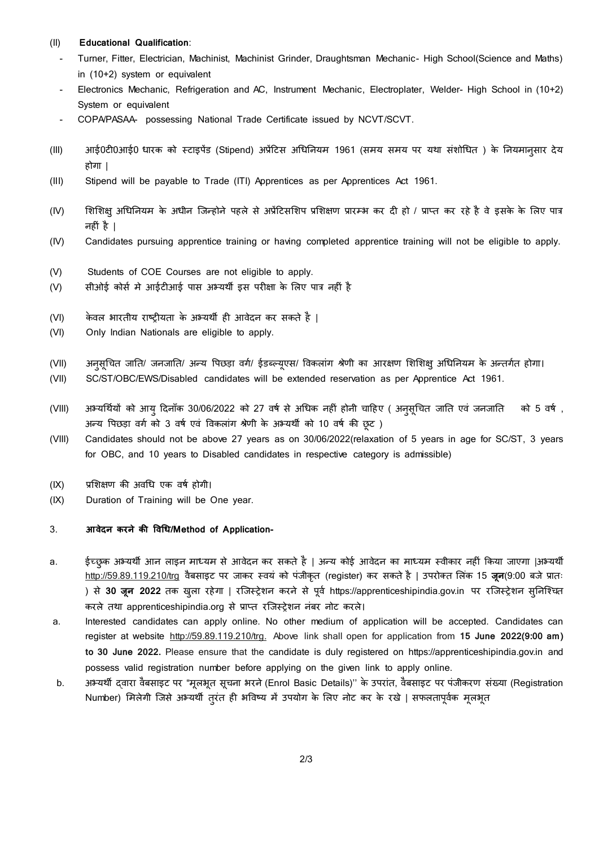#### (II) **Educational Qualification**:

- Turner, Fitter, Electrician, Machinist, Machinist Grinder, Draughtsman Mechanic- High School(Science and Maths) in (10+2) system or equivalent
- Electronics Mechanic, Refrigeration and AC, Instrument Mechanic, Electroplater, Welder- High School in (10+2) System or equivalent
- COPA/PASAA- possessing National Trade Certificate issued by NCVT/SCVT.
- (III) आई0टी0आई0 धारक को स्टाइपेंड (Stipend) अप्रेंटिस अधिनियम 1961 (समय समय पर यथा संशोधित ) के नियमानसार देय होगा |
- (III) Stipend will be payable to Trade (ITI) Apprentices as per Apprentices Act 1961.
- (IV) शिशिक्षु अधिनियम के अधीन जिन्होने पहले से अप्रेंटिसशिप प्रशिक्षण प्रारम्भ कर दी हो / प्राप्त कर रहे है वे इसके के लिए पात्र निीं िै |
- (IV) Candidates pursuing apprentice training or having completed apprentice training will not be eligible to apply.
- (V) Students of COE Courses are not eligible to apply.
- (V) सीओई कोर्स मे आईटीआई पास अभ्यर्थी इस परीक्षा के लिए पात्र नहीं है
- (VI) किवल भारतीय राष्ट्रीयता के अभ्यर्थी ही आवेदन कर सकते है |
- (VI) Only Indian Nationals are eligible to apply.
- (VII) अनुसचित जाति/ जनजाति/ अन्य पिछड़ा वर्ग/ ईडब्ल्युएस/ विकलांग श्रेणी का आरक्षण शिशिक्षु अधिनियम के अन्तर्गत होगा।
- (VII) SC/ST/OBC/EWS/Disabled candidates will be extended reservation as per Apprentice Act 1961.
- (VIII) अभ्यर्थियों को आयु दिनाँक 30/06/2022 को 27 वर्ष से अधिक नहीं होनी चाहिए ( अनुसूचित जाति एवं जनजाति को 5 वर्ष), अन्य पिछड़ा वर्ग को 3 वर्ष एवं विकलांग श्रेणी के अभ्यर्थी को 10 वर्ष की छूट)
- (VIII) Candidates should not be above 27 years as on 30/06/2022(relaxation of 5 years in age for SC/ST, 3 years for OBC, and 10 years to Disabled candidates in respective category is admissible)
- (IX) प्रशिक्षण की अवधि एक वर्ष होगी।
- (IX) Duration of Training will be One year.

### 3. **आवेदन करने की ववधि/Method of Application-**

- a. ईच्छुक अभ्यर्थी आन लाइन माध्यम से आवेदन कर सकते है | अन्य कोई आवेदन का माध्यम स्वीकार नहीं किया जाएगा |अभ्यर्थी [http://59.89.119.210/trg](http://117.239.229.153/trg) वैबसाइट पर जाकर स्वयं को पंजीकृत (register) कर सकते है | उपरोक्त लिंक 15 **जून**(9:00 बजे प्रातः ) से 30 जून 2022 तक खुला रहेगा | रजिस्ट्रेशन करने से पूर्व https://apprenticeshipindia.gov.in पर रजिस्ट्रेशन सुनिश्चित करले तथा apprenticeshipindia.org से प्राप्त रजिस्ट्रेशन नंबर नोट करले।
- a. Interested candidates can apply online. No other medium of application will be accepted. Candidates can register at website [http://59.89.119.210/trg.](http://117.239.229.153/trg) Above link shall open for application from **15 June 2022(9:00 am) to 30 June 2022.** Please ensure that the candidate is duly registered on https://apprenticeshipindia.gov.in and possess valid registration number before applying on the given link to apply online.
- b. अभ्यर्थी दवारा वैबसाइट पर "मृलभृत सूचना भरने (Enrol Basic Details)'' के उपरांत, वैबसाइट पर पंजीकरण संख्या (Registration Number) मिलेगी जिसे अभ्यर्थी तुरंत ही भविष्य में उपयोग के लिए नोट कर के रखे | सफलतापूर्वक मूलभूत